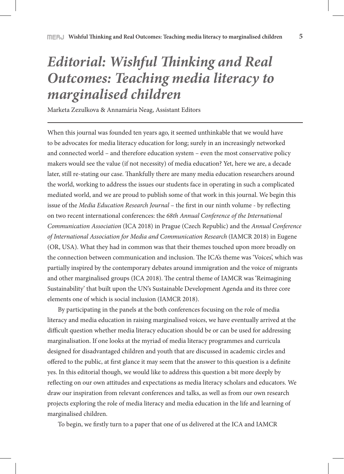## *Editorial: Wishful Thinking and Real Outcomes: Teaching media literacy to marginalised children*

Marketa Zezulkova & Annamária Neag, Assistant Editors

When this journal was founded ten years ago, it seemed unthinkable that we would have to be advocates for media literacy education for long; surely in an increasingly networked and connected world – and therefore education system – even the most conservative policy makers would see the value (if not necessity) of media education? Yet, here we are, a decade later, still re-stating our case. Thankfully there are many media education researchers around the world, working to address the issues our students face in operating in such a complicated mediated world, and we are proud to publish some of that work in this journal. We begin this issue of the *Media Education Research Journal* – the first in our ninth volume - by reflecting on two recent international conferences: the *68th Annual Conference of the International Communication Association* (ICA 2018) in Prague (Czech Republic) and the *Annual Conference of International Association for Media and Communication Research* (IAMCR 2018) in Eugene (OR, USA). What they had in common was that their themes touched upon more broadly on the connection between communication and inclusion. The ICA's theme was 'Voices', which was partially inspired by the contemporary debates around immigration and the voice of migrants and other marginalised groups (ICA 2018). The central theme of IAMCR was 'Reimagining Sustainability' that built upon the UN's Sustainable Development Agenda and its three core elements one of which is social inclusion (IAMCR 2018).

By participating in the panels at the both conferences focusing on the role of media literacy and media education in raising marginalised voices, we have eventually arrived at the difficult question whether media literacy education should be or can be used for addressing marginalisation. If one looks at the myriad of media literacy programmes and curricula designed for disadvantaged children and youth that are discussed in academic circles and offered to the public, at first glance it may seem that the answer to this question is a definite yes. In this editorial though, we would like to address this question a bit more deeply by reflecting on our own attitudes and expectations as media literacy scholars and educators. We draw our inspiration from relevant conferences and talks, as well as from our own research projects exploring the role of media literacy and media education in the life and learning of marginalised children.

To begin, we firstly turn to a paper that one of us delivered at the ICA and IAMCR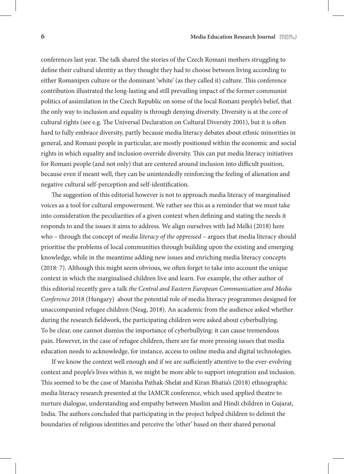conferences last year. The talk shared the stories of the Czech Romani mothers struggling to define their cultural identity as they thought they had to choose between living according to either Romanipen culture or the dominant 'white' (as they called it) culture. This conference contribution illustrated the long-lasting and still prevailing impact of the former communist politics of assimilation in the Czech Republic on some of the local Romani people's belief, that the only way to inclusion and equality is through denying diversity. Diversity is at the core of cultural rights (see e.g. The Universal Declaration on Cultural Diversity 2001), but it is often hard to fully embrace diversity, partly because media literacy debates about ethnic minorities in general, and Romani people in particular, are mostly positioned within the economic and social rights in which equality and inclusion override diversity. This can put media literacy initiatives for Romani people (and not only) that are centered around inclusion into difficult position, because even if meant well, they can be unintendedly reinforcing the feeling of alienation and negative cultural self-perception and self-identification.

The suggestion of this editorial however is not to approach media literacy of marginalised voices as a tool for cultural empowerment. We rather see this as a reminder that we must take into consideration the peculiarities of a given context when defining and stating the needs it responds to and the issues it aims to address. We align ourselves with Jad Melki (2018) here who – through the concept of *media literacy of the oppressed* – argues that media literacy should prioritise the problems of local communities through building upon the existing and emerging knowledge, while in the meantime adding new issues and enriching media literacy concepts (2018: 7). Although this might seem obvious, we often forget to take into account the unique context in which the marginalised children live and learn. For example, the other author of this editorial recently gave a talk *the Central and Eastern European Communication and Media Conference* 2018 (Hungary) about the potential role of media literacy programmes designed for unaccompanied refugee children (Neag, 2018). An academic from the audience asked whether during the research fieldwork, the participating children were asked about cyberbullying. To be clear, one cannot dismiss the importance of cyberbullying: it can cause tremendous pain. However, in the case of refugee children, there are far more pressing issues that media education needs to acknowledge, for instance, access to online media and digital technologies.

If we know the context well enough and if we are sufficiently attentive to the ever-evolving context and people's lives within it, we might be more able to support integration and inclusion. This seemed to be the case of Manisha Pathak-Shelat and Kiran Bhatia's (2018) ethnographic media literacy research presented at the IAMCR conference, which used applied theatre to nurture dialogue, understanding and empathy between Muslim and Hindi children in Gujarat, India. The authors concluded that participating in the project helped children to delimit the boundaries of religious identities and perceive the 'other' based on their shared personal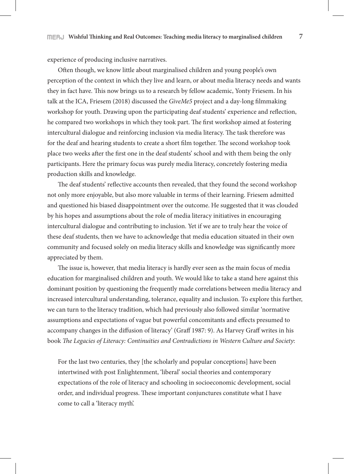experience of producing inclusive narratives.

Often though, we know little about marginalised children and young people's own perception of the context in which they live and learn, or about media literacy needs and wants they in fact have. This now brings us to a research by fellow academic, Yonty Friesem. In his talk at the ICA, Friesem (2018) discussed the *GiveMe5* project and a day-long filmmaking workshop for youth. Drawing upon the participating deaf students' experience and reflection, he compared two workshops in which they took part. The first workshop aimed at fostering intercultural dialogue and reinforcing inclusion via media literacy. The task therefore was for the deaf and hearing students to create a short film together. The second workshop took place two weeks after the first one in the deaf students' school and with them being the only participants. Here the primary focus was purely media literacy, concretely fostering media production skills and knowledge.

The deaf students' reflective accounts then revealed, that they found the second workshop not only more enjoyable, but also more valuable in terms of their learning. Friesem admitted and questioned his biased disappointment over the outcome. He suggested that it was clouded by his hopes and assumptions about the role of media literacy initiatives in encouraging intercultural dialogue and contributing to inclusion. Yet if we are to truly hear the voice of these deaf students, then we have to acknowledge that media education situated in their own community and focused solely on media literacy skills and knowledge was significantly more appreciated by them.

The issue is, however, that media literacy is hardly ever seen as the main focus of media education for marginalised children and youth. We would like to take a stand here against this dominant position by questioning the frequently made correlations between media literacy and increased intercultural understanding, tolerance, equality and inclusion. To explore this further, we can turn to the literacy tradition, which had previously also followed similar 'normative assumptions and expectations of vague but powerful concomitants and effects presumed to accompany changes in the diffusion of literacy' (Graff 1987: 9). As Harvey Graff writes in his book *The Legacies of Literacy: Continuities and Contradictions in Western Culture and Society*:

For the last two centuries, they [the scholarly and popular conceptions] have been intertwined with post Enlightenment, 'liberal' social theories and contemporary expectations of the role of literacy and schooling in socioeconomic development, social order, and individual progress. These important conjunctures constitute what I have come to call a 'literacy myth'.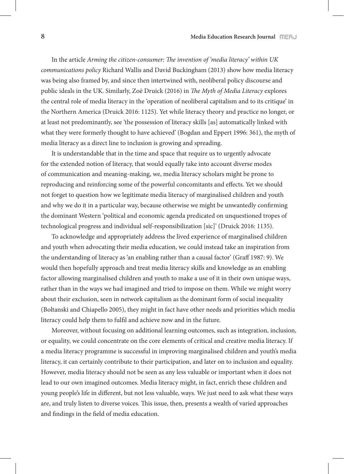In the article *Arming the citizen-consumer: The invention of 'media literacy' within UK communications policy* Richard Wallis and David Buckingham (2013) show how media literacy was being also framed by, and since then intertwined with, neoliberal policy discourse and public ideals in the UK. Similarly, Zoë Druick (2016) in *The Myth of Media Literacy* explores the central role of media literacy in the 'operation of neoliberal capitalism and to its critique' in the Northern America (Druick 2016: 1125). Yet while literacy theory and practice no longer, or at least not predominantly, see 'the possession of literacy skills [as] automatically linked with what they were formerly thought to have achieved' (Bogdan and Eppert 1996: 361), the myth of media literacy as a direct line to inclusion is growing and spreading.

It is understandable that in the time and space that require us to urgently advocate for the extended notion of literacy, that would equally take into account diverse modes of communication and meaning-making, we, media literacy scholars might be prone to reproducing and reinforcing some of the powerful concomitants and effects. Yet we should not forget to question how we legitimate media literacy of marginalised children and youth and why we do it in a particular way, because otherwise we might be unwantedly confirming the dominant Western 'political and economic agenda predicated on unquestioned tropes of technological progress and individual self-responsibilization [sic]' (Druick 2016: 1135).

To acknowledge and appropriately address the lived experience of marginalised children and youth when advocating their media education, we could instead take an inspiration from the understanding of literacy as 'an enabling rather than a causal factor' (Graff 1987: 9). We would then hopefully approach and treat media literacy skills and knowledge as an enabling factor allowing marginalised children and youth to make a use of it in their own unique ways, rather than in the ways we had imagined and tried to impose on them. While we might worry about their exclusion, seen in network capitalism as the dominant form of social inequality (Boltanski and Chiapello 2005), they might in fact have other needs and priorities which media literacy could help them to fulfil and achieve now and in the future.

Moreover, without focusing on additional learning outcomes, such as integration, inclusion, or equality, we could concentrate on the core elements of critical and creative media literacy. If a media literacy programme is successful in improving marginalised children and youth's media literacy, it can certainly contribute to their participation, and later on to inclusion and equality. However, media literacy should not be seen as any less valuable or important when it does not lead to our own imagined outcomes. Media literacy might, in fact, enrich these children and young people's life in different, but not less valuable, ways. We just need to ask what these ways are, and truly listen to diverse voices. This issue, then, presents a wealth of varied approaches and findings in the field of media education.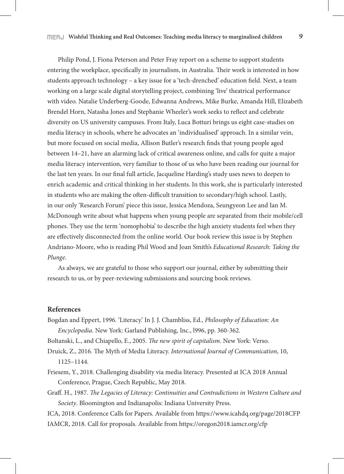Philip Pond, J. Fiona Peterson and Peter Fray report on a scheme to support students entering the workplace, specifically in journalism, in Australia. Their work is interested in how students approach technology – a key issue for a 'tech-drenched' education field. Next, a team working on a large scale digital storytelling project, combining 'live' theatrical performance with video. Natalie Underberg-Goode, Edwanna Andrews, Mike Burke, Amanda Hill, Elizabeth Brendel Horn, Natasha Jones and Stephanie Wheeler's work seeks to reflect and celebrate diversity on US university campuses. From Italy, Luca Botturi brings us eight case-studies on media literacy in schools, where he advocates an 'individualised' approach. In a similar vein, but more focused on social media, Allison Butler's research finds that young people aged between 14–21, have an alarming lack of critical awareness online, and calls for quite a major media literacy intervention, very familiar to those of us who have been reading our journal for the last ten years. In our final full article, Jacqueline Harding's study uses news to deepen to enrich academic and critical thinking in her students. In this work, she is particularly interested in students who are making the often-difficult transition to secondary/high school. Lastly, in our only 'Research Forum' piece this issue, Jessica Mendoza, Seungyeon Lee and Ian M. McDonough write about what happens when young people are separated from their mobile/cell phones. They use the term 'nomophobia' to describe the high anxiety students feel when they are effectively disconnected from the online world. Our book review this issue is by Stephen Andriano-Moore, who is reading Phil Wood and Joan Smith's *Educational Research: Taking the Plunge*.

As always, we are grateful to those who support our journal, either by submitting their research to us, or by peer-reviewing submissions and sourcing book reviews.

## **References**

Bogdan and Eppert, 1996. 'Literacy.' In J. J. Chambliss, Ed., *Philosophy of Education: An Encyclopedia*. New York: Garland Publishing, Inc., l996, pp. 360-362.

Boltanski, L., and Chiapello, E., 2005. *The new spirit of capitalism*. New York: Verso.

- Druick, Z., 2016. The Myth of Media Literacy. *International Journal of Communication*, 10, 1125–1144.
- Friesem, Y., 2018. Challenging disability via media literacy. Presented at ICA 2018 Annual Conference, Prague, Czech Republic, May 2018.
- Graff. H., 1987. *The Legacies of Literacy: Continuities and Contradictions in Western Culture and Society*. Bloomington and Indianapolis: Indiana University Press.
- ICA, 2018. Conference Calls for Papers. Available from https://www.icahdq.org/page/2018CFP IAMCR, 2018. Call for proposals. Available from https://oregon2018.iamcr.org/cfp